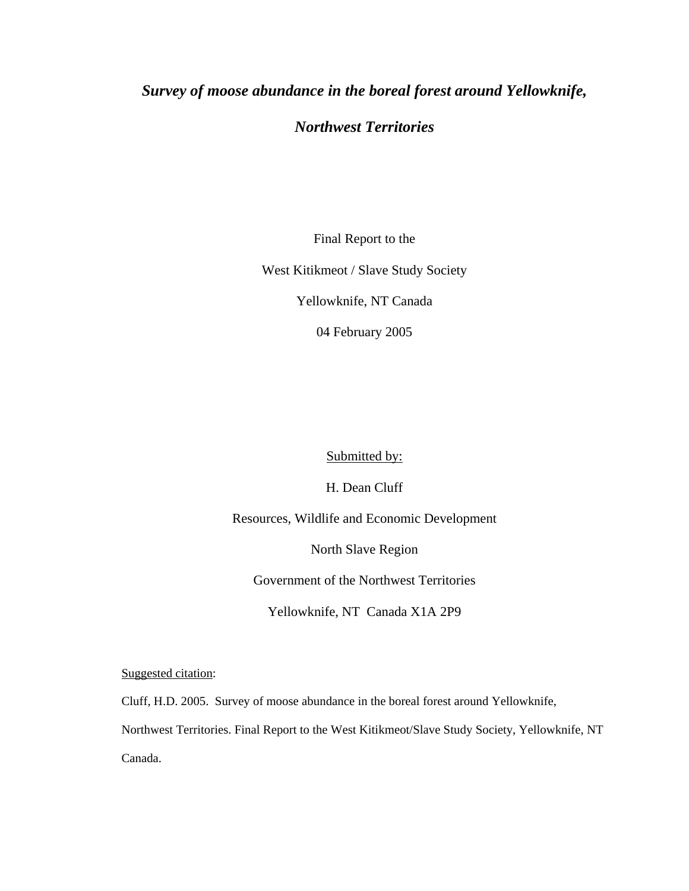# *Survey of moose abundance in the boreal forest around Yellowknife,*

# *Northwest Territories*

Final Report to the

West Kitikmeot / Slave Study Society

Yellowknife, NT Canada

04 February 2005

Submitted by:

H. Dean Cluff

Resources, Wildlife and Economic Development

North Slave Region

Government of the Northwest Territories

Yellowknife, NT Canada X1A 2P9

Suggested citation:

Cluff, H.D. 2005. Survey of moose abundance in the boreal forest around Yellowknife,

Northwest Territories. Final Report to the West Kitikmeot/Slave Study Society, Yellowknife, NT

Canada.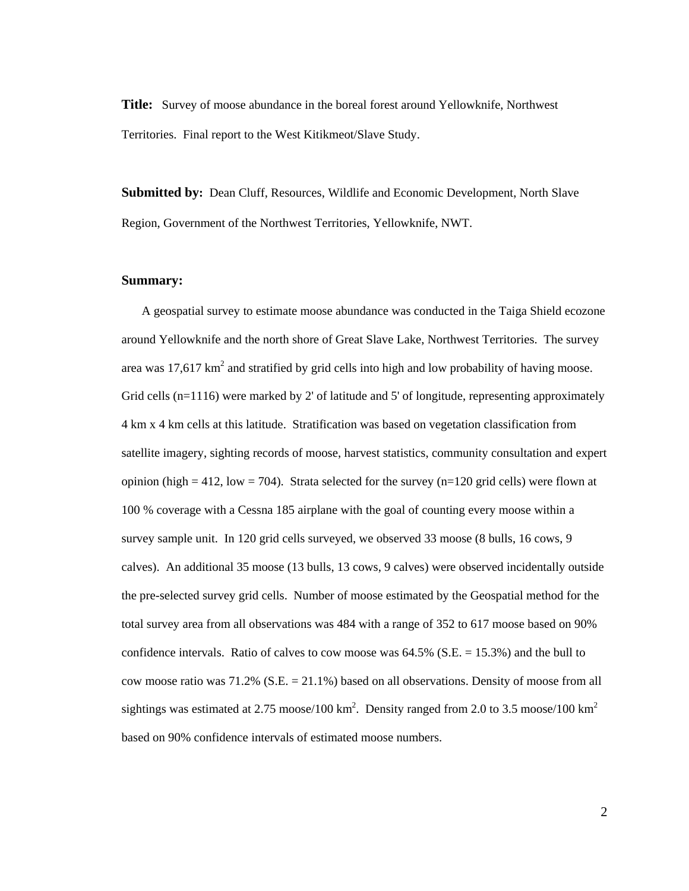**Title:** Survey of moose abundance in the boreal forest around Yellowknife, Northwest Territories. Final report to the West Kitikmeot/Slave Study.

**Submitted by:** Dean Cluff, Resources, Wildlife and Economic Development, North Slave Region, Government of the Northwest Territories, Yellowknife, NWT.

#### **Summary:**

 A geospatial survey to estimate moose abundance was conducted in the Taiga Shield ecozone around Yellowknife and the north shore of Great Slave Lake, Northwest Territories. The survey area was 17,617  $km^2$  and stratified by grid cells into high and low probability of having moose. Grid cells  $(n=1116)$  were marked by 2' of latitude and 5' of longitude, representing approximately 4 km x 4 km cells at this latitude. Stratification was based on vegetation classification from satellite imagery, sighting records of moose, harvest statistics, community consultation and expert opinion (high = 412, low = 704). Strata selected for the survey (n=120 grid cells) were flown at 100 % coverage with a Cessna 185 airplane with the goal of counting every moose within a survey sample unit. In 120 grid cells surveyed, we observed 33 moose (8 bulls, 16 cows, 9 calves). An additional 35 moose (13 bulls, 13 cows, 9 calves) were observed incidentally outside the pre-selected survey grid cells. Number of moose estimated by the Geospatial method for the total survey area from all observations was 484 with a range of 352 to 617 moose based on 90% confidence intervals. Ratio of calves to cow moose was 64.5% (S.E. = 15.3%) and the bull to cow moose ratio was 71.2% (S.E. = 21.1%) based on all observations. Density of moose from all sightings was estimated at 2.75 moose/100 km<sup>2</sup>. Density ranged from 2.0 to 3.5 moose/100 km<sup>2</sup> based on 90% confidence intervals of estimated moose numbers.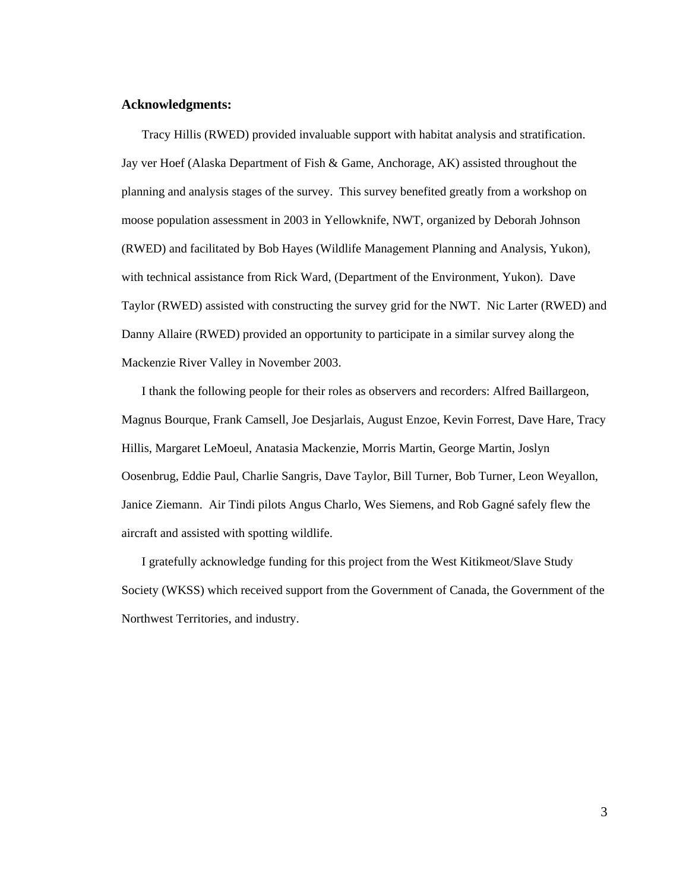## **Acknowledgments:**

 Tracy Hillis (RWED) provided invaluable support with habitat analysis and stratification. Jay ver Hoef (Alaska Department of Fish & Game, Anchorage, AK) assisted throughout the planning and analysis stages of the survey. This survey benefited greatly from a workshop on moose population assessment in 2003 in Yellowknife, NWT, organized by Deborah Johnson (RWED) and facilitated by Bob Hayes (Wildlife Management Planning and Analysis, Yukon), with technical assistance from Rick Ward, (Department of the Environment, Yukon). Dave Taylor (RWED) assisted with constructing the survey grid for the NWT. Nic Larter (RWED) and Danny Allaire (RWED) provided an opportunity to participate in a similar survey along the Mackenzie River Valley in November 2003.

 I thank the following people for their roles as observers and recorders: Alfred Baillargeon, Magnus Bourque, Frank Camsell, Joe Desjarlais, August Enzoe, Kevin Forrest, Dave Hare, Tracy Hillis, Margaret LeMoeul, Anatasia Mackenzie, Morris Martin, George Martin, Joslyn Oosenbrug, Eddie Paul, Charlie Sangris, Dave Taylor, Bill Turner, Bob Turner, Leon Weyallon, Janice Ziemann. Air Tindi pilots Angus Charlo, Wes Siemens, and Rob Gagné safely flew the aircraft and assisted with spotting wildlife.

 I gratefully acknowledge funding for this project from the West Kitikmeot/Slave Study Society (WKSS) which received support from the Government of Canada, the Government of the Northwest Territories, and industry.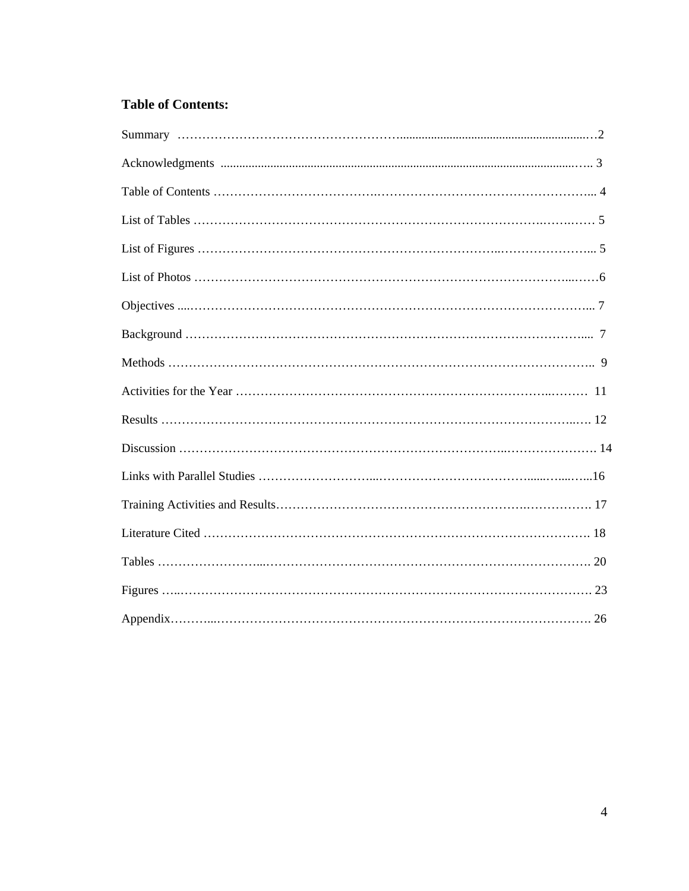## **Table of Contents:**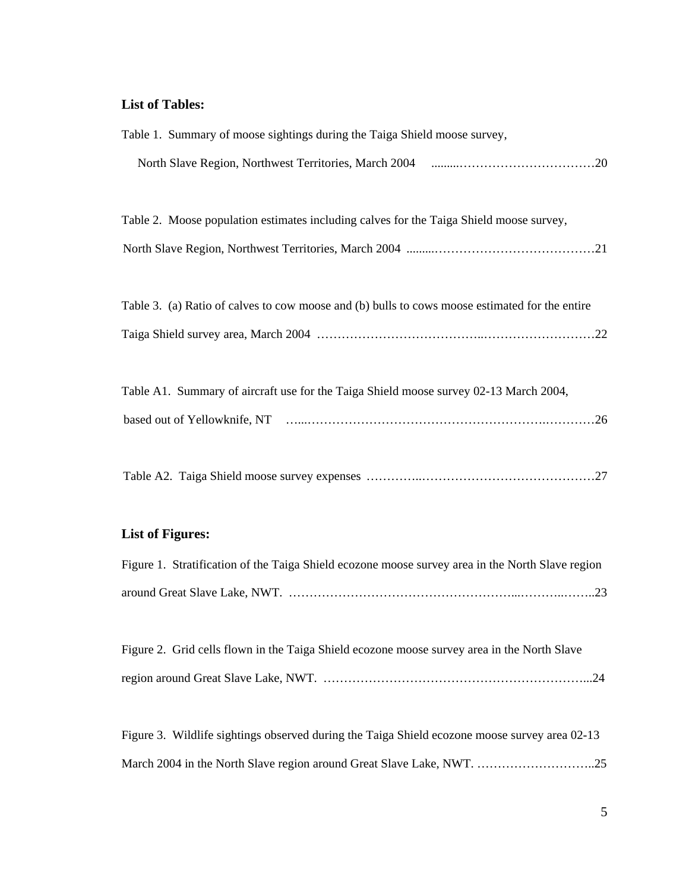## **List of Tables:**

| Table 1. Summary of moose sightings during the Taiga Shield moose survey,                      |
|------------------------------------------------------------------------------------------------|
|                                                                                                |
| Table 2. Moose population estimates including calves for the Taiga Shield moose survey,        |
|                                                                                                |
| Table 3. (a) Ratio of calves to cow moose and (b) bulls to cows moose estimated for the entire |
|                                                                                                |
| Table A1. Summary of aircraft use for the Taiga Shield moose survey 02-13 March 2004,          |
|                                                                                                |
|                                                                                                |

## **List of Figures:**

| Figure 1. Stratification of the Taiga Shield ecozone moose survey area in the North Slave region |  |  |  |
|--------------------------------------------------------------------------------------------------|--|--|--|
|                                                                                                  |  |  |  |

Figure 2. Grid cells flown in the Taiga Shield ecozone moose survey area in the North Slave region around Great Slave Lake, NWT. ………………………………………………………...24

Figure 3. Wildlife sightings observed during the Taiga Shield ecozone moose survey area 02-13 March 2004 in the North Slave region around Great Slave Lake, NWT. ………………………..25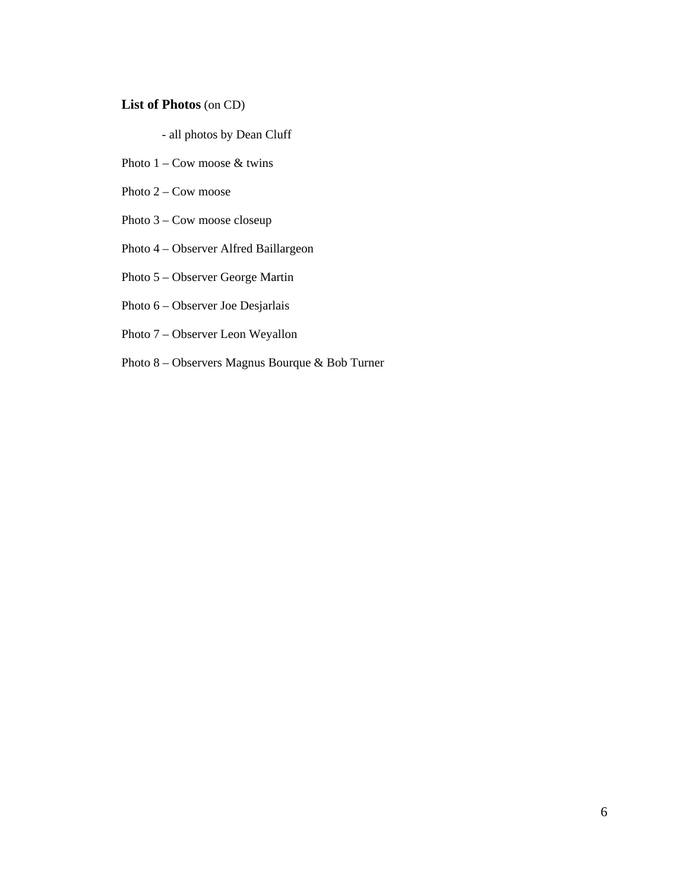## **List of Photos** (on CD)

- all photos by Dean Cluff

- Photo  $1 \text{Cow } \text{moose } \&$  twins
- Photo 2 Cow moose
- Photo 3 Cow moose closeup
- Photo 4 Observer Alfred Baillargeon
- Photo 5 Observer George Martin
- Photo 6 Observer Joe Desjarlais
- Photo 7 Observer Leon Weyallon
- Photo 8 Observers Magnus Bourque & Bob Turner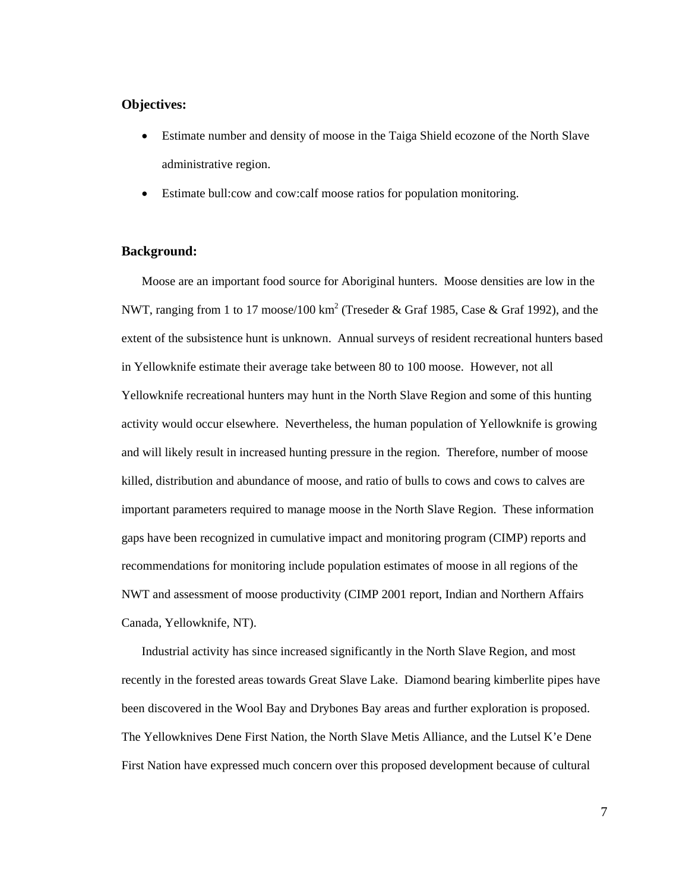## **Objectives:**

- Estimate number and density of moose in the Taiga Shield ecozone of the North Slave administrative region.
- Estimate bull:cow and cow:calf moose ratios for population monitoring.

### **Background:**

Moose are an important food source for Aboriginal hunters. Moose densities are low in the NWT, ranging from 1 to 17 moose/100 km<sup>2</sup> (Treseder & Graf 1985, Case & Graf 1992), and the extent of the subsistence hunt is unknown. Annual surveys of resident recreational hunters based in Yellowknife estimate their average take between 80 to 100 moose. However, not all Yellowknife recreational hunters may hunt in the North Slave Region and some of this hunting activity would occur elsewhere. Nevertheless, the human population of Yellowknife is growing and will likely result in increased hunting pressure in the region. Therefore, number of moose killed, distribution and abundance of moose, and ratio of bulls to cows and cows to calves are important parameters required to manage moose in the North Slave Region. These information gaps have been recognized in cumulative impact and monitoring program (CIMP) reports and recommendations for monitoring include population estimates of moose in all regions of the NWT and assessment of moose productivity (CIMP 2001 report, Indian and Northern Affairs Canada, Yellowknife, NT).

Industrial activity has since increased significantly in the North Slave Region, and most recently in the forested areas towards Great Slave Lake. Diamond bearing kimberlite pipes have been discovered in the Wool Bay and Drybones Bay areas and further exploration is proposed. The Yellowknives Dene First Nation, the North Slave Metis Alliance, and the Lutsel K'e Dene First Nation have expressed much concern over this proposed development because of cultural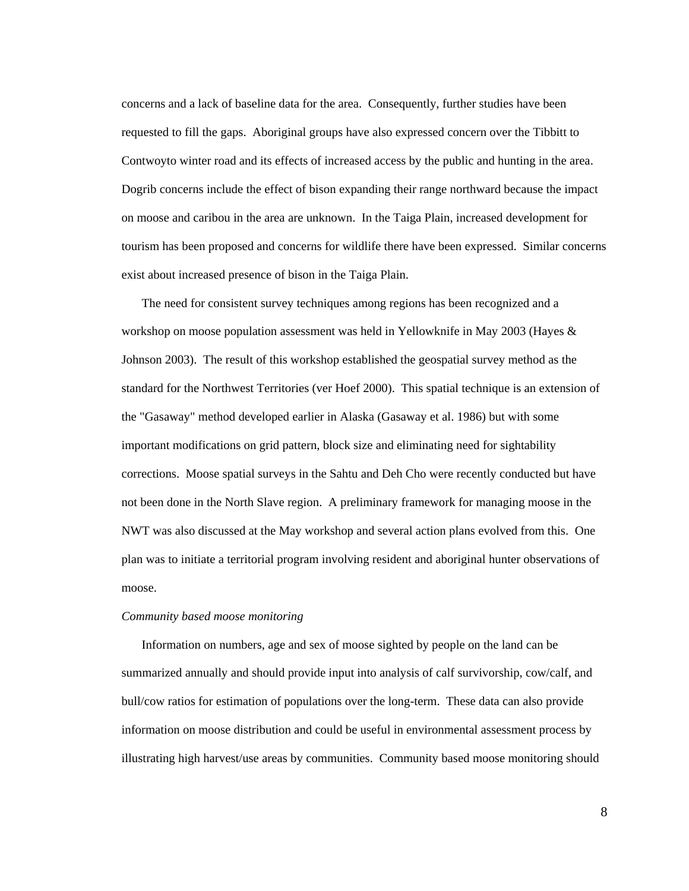concerns and a lack of baseline data for the area. Consequently, further studies have been requested to fill the gaps. Aboriginal groups have also expressed concern over the Tibbitt to Contwoyto winter road and its effects of increased access by the public and hunting in the area. Dogrib concerns include the effect of bison expanding their range northward because the impact on moose and caribou in the area are unknown. In the Taiga Plain, increased development for tourism has been proposed and concerns for wildlife there have been expressed. Similar concerns exist about increased presence of bison in the Taiga Plain.

The need for consistent survey techniques among regions has been recognized and a workshop on moose population assessment was held in Yellowknife in May 2003 (Hayes & Johnson 2003). The result of this workshop established the geospatial survey method as the standard for the Northwest Territories (ver Hoef 2000). This spatial technique is an extension of the "Gasaway" method developed earlier in Alaska (Gasaway et al. 1986) but with some important modifications on grid pattern, block size and eliminating need for sightability corrections. Moose spatial surveys in the Sahtu and Deh Cho were recently conducted but have not been done in the North Slave region. A preliminary framework for managing moose in the NWT was also discussed at the May workshop and several action plans evolved from this. One plan was to initiate a territorial program involving resident and aboriginal hunter observations of moose.

#### *Community based moose monitoring*

 Information on numbers, age and sex of moose sighted by people on the land can be summarized annually and should provide input into analysis of calf survivorship, cow/calf, and bull/cow ratios for estimation of populations over the long-term. These data can also provide information on moose distribution and could be useful in environmental assessment process by illustrating high harvest/use areas by communities. Community based moose monitoring should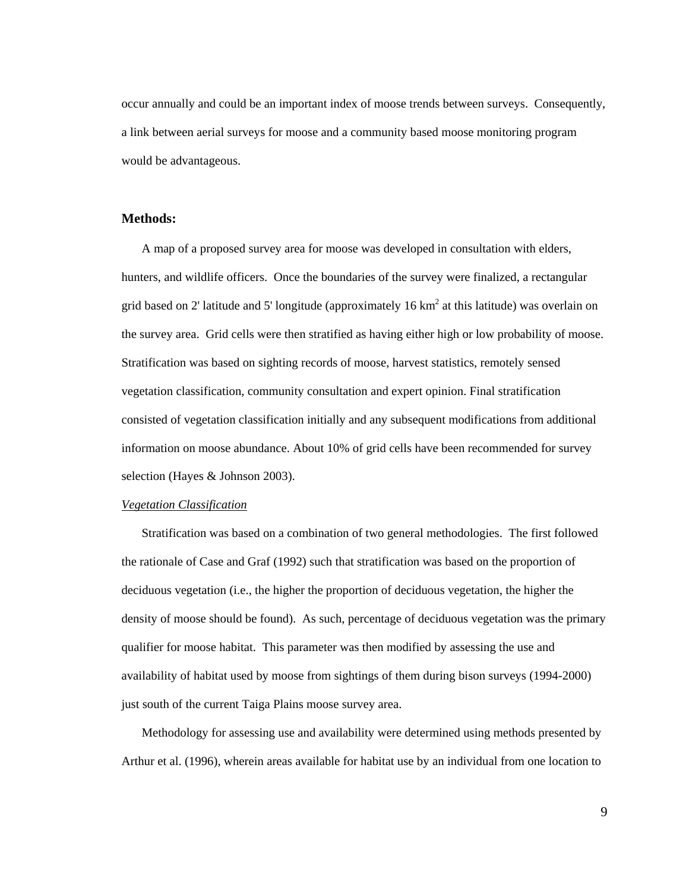occur annually and could be an important index of moose trends between surveys. Consequently, a link between aerial surveys for moose and a community based moose monitoring program would be advantageous.

## **Methods:**

 A map of a proposed survey area for moose was developed in consultation with elders, hunters, and wildlife officers. Once the boundaries of the survey were finalized, a rectangular grid based on 2' latitude and 5' longitude (approximately 16  $km<sup>2</sup>$  at this latitude) was overlain on the survey area. Grid cells were then stratified as having either high or low probability of moose. Stratification was based on sighting records of moose, harvest statistics, remotely sensed vegetation classification, community consultation and expert opinion. Final stratification consisted of vegetation classification initially and any subsequent modifications from additional information on moose abundance. About 10% of grid cells have been recommended for survey selection (Hayes & Johnson 2003).

#### *Vegetation Classification*

Stratification was based on a combination of two general methodologies. The first followed the rationale of Case and Graf (1992) such that stratification was based on the proportion of deciduous vegetation (i.e., the higher the proportion of deciduous vegetation, the higher the density of moose should be found). As such, percentage of deciduous vegetation was the primary qualifier for moose habitat. This parameter was then modified by assessing the use and availability of habitat used by moose from sightings of them during bison surveys (1994-2000) just south of the current Taiga Plains moose survey area.

Methodology for assessing use and availability were determined using methods presented by Arthur et al. (1996), wherein areas available for habitat use by an individual from one location to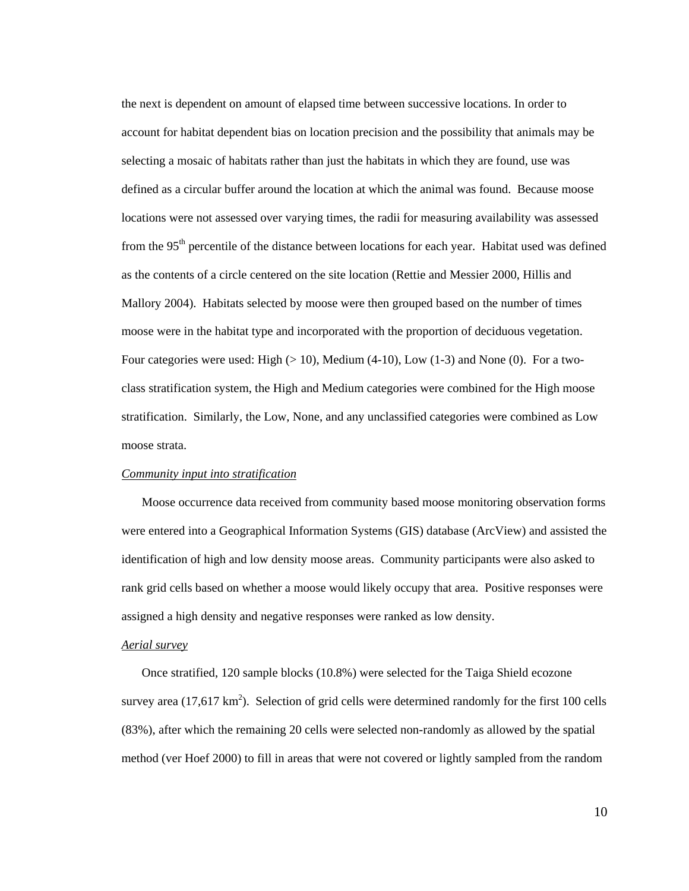the next is dependent on amount of elapsed time between successive locations. In order to account for habitat dependent bias on location precision and the possibility that animals may be selecting a mosaic of habitats rather than just the habitats in which they are found, use was defined as a circular buffer around the location at which the animal was found. Because moose locations were not assessed over varying times, the radii for measuring availability was assessed from the 95<sup>th</sup> percentile of the distance between locations for each year. Habitat used was defined as the contents of a circle centered on the site location (Rettie and Messier 2000, Hillis and Mallory 2004). Habitats selected by moose were then grouped based on the number of times moose were in the habitat type and incorporated with the proportion of deciduous vegetation. Four categories were used: High  $(> 10)$ , Medium  $(4-10)$ , Low  $(1-3)$  and None  $(0)$ . For a twoclass stratification system, the High and Medium categories were combined for the High moose stratification. Similarly, the Low, None, and any unclassified categories were combined as Low moose strata.

#### *Community input into stratification*

 Moose occurrence data received from community based moose monitoring observation forms were entered into a Geographical Information Systems (GIS) database (ArcView) and assisted the identification of high and low density moose areas. Community participants were also asked to rank grid cells based on whether a moose would likely occupy that area. Positive responses were assigned a high density and negative responses were ranked as low density.

#### *Aerial survey*

 Once stratified, 120 sample blocks (10.8%) were selected for the Taiga Shield ecozone survey area  $(17,617 \text{ km}^2)$ . Selection of grid cells were determined randomly for the first 100 cells (83%), after which the remaining 20 cells were selected non-randomly as allowed by the spatial method (ver Hoef 2000) to fill in areas that were not covered or lightly sampled from the random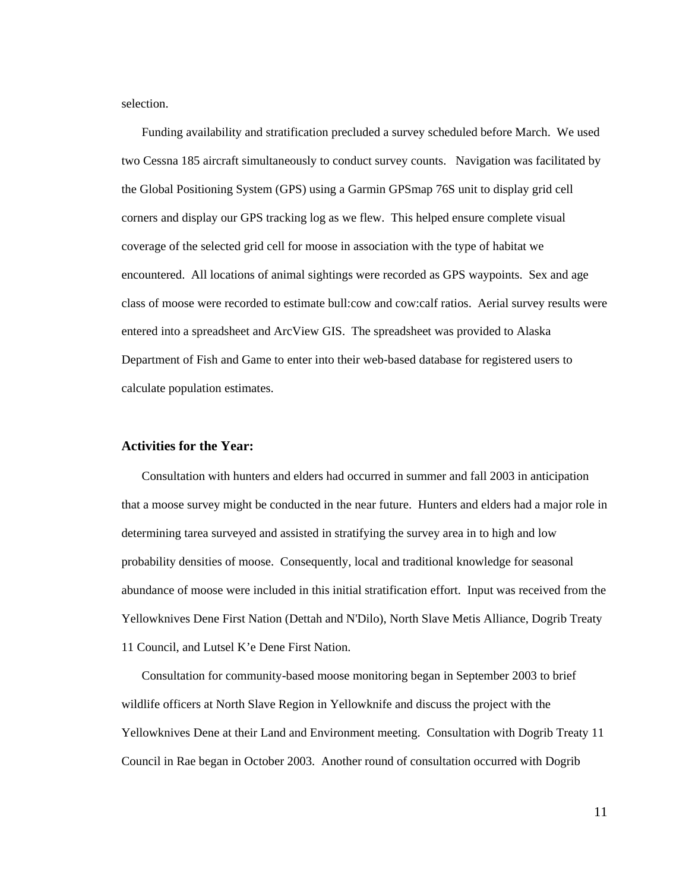selection.

 Funding availability and stratification precluded a survey scheduled before March. We used two Cessna 185 aircraft simultaneously to conduct survey counts. Navigation was facilitated by the Global Positioning System (GPS) using a Garmin GPSmap 76S unit to display grid cell corners and display our GPS tracking log as we flew. This helped ensure complete visual coverage of the selected grid cell for moose in association with the type of habitat we encountered. All locations of animal sightings were recorded as GPS waypoints. Sex and age class of moose were recorded to estimate bull:cow and cow:calf ratios. Aerial survey results were entered into a spreadsheet and ArcView GIS. The spreadsheet was provided to Alaska Department of Fish and Game to enter into their web-based database for registered users to calculate population estimates.

### **Activities for the Year:**

 Consultation with hunters and elders had occurred in summer and fall 2003 in anticipation that a moose survey might be conducted in the near future. Hunters and elders had a major role in determining tarea surveyed and assisted in stratifying the survey area in to high and low probability densities of moose. Consequently, local and traditional knowledge for seasonal abundance of moose were included in this initial stratification effort. Input was received from the Yellowknives Dene First Nation (Dettah and N'Dilo), North Slave Metis Alliance, Dogrib Treaty 11 Council, and Lutsel K'e Dene First Nation.

Consultation for community-based moose monitoring began in September 2003 to brief wildlife officers at North Slave Region in Yellowknife and discuss the project with the Yellowknives Dene at their Land and Environment meeting. Consultation with Dogrib Treaty 11 Council in Rae began in October 2003. Another round of consultation occurred with Dogrib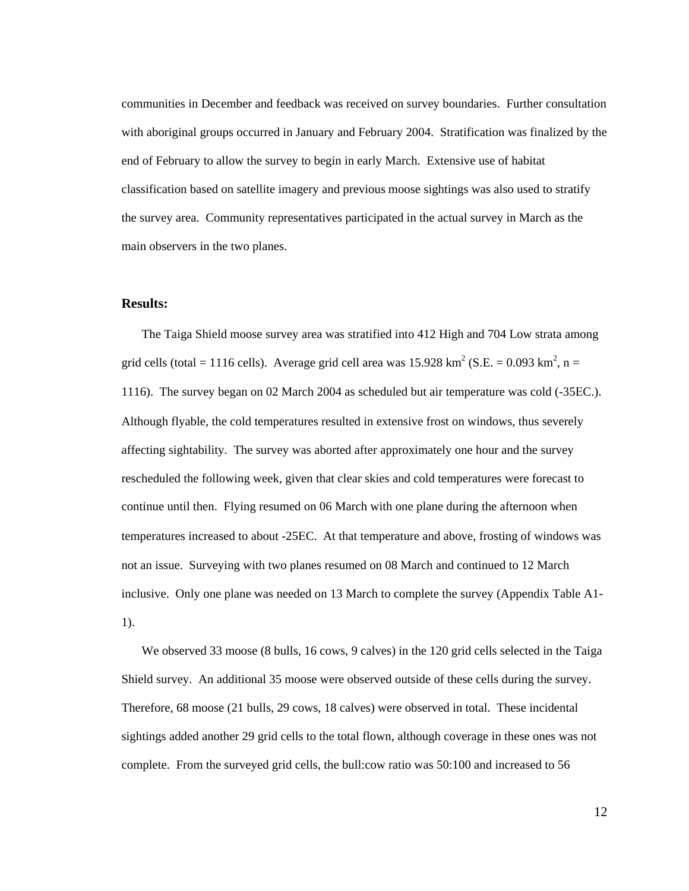communities in December and feedback was received on survey boundaries. Further consultation with aboriginal groups occurred in January and February 2004. Stratification was finalized by the end of February to allow the survey to begin in early March. Extensive use of habitat classification based on satellite imagery and previous moose sightings was also used to stratify the survey area. Community representatives participated in the actual survey in March as the main observers in the two planes.

## **Results:**

 The Taiga Shield moose survey area was stratified into 412 High and 704 Low strata among grid cells (total = 1116 cells). Average grid cell area was  $15.928 \text{ km}^2$  (S.E. = 0.093 km<sup>2</sup>, n = 1116). The survey began on 02 March 2004 as scheduled but air temperature was cold (-35ΕC.). Although flyable, the cold temperatures resulted in extensive frost on windows, thus severely affecting sightability. The survey was aborted after approximately one hour and the survey rescheduled the following week, given that clear skies and cold temperatures were forecast to continue until then. Flying resumed on 06 March with one plane during the afternoon when temperatures increased to about -25ΕC. At that temperature and above, frosting of windows was not an issue. Surveying with two planes resumed on 08 March and continued to 12 March inclusive. Only one plane was needed on 13 March to complete the survey (Appendix Table A1- 1).

We observed 33 moose (8 bulls, 16 cows, 9 calves) in the 120 grid cells selected in the Taiga Shield survey. An additional 35 moose were observed outside of these cells during the survey. Therefore, 68 moose (21 bulls, 29 cows, 18 calves) were observed in total. These incidental sightings added another 29 grid cells to the total flown, although coverage in these ones was not complete. From the surveyed grid cells, the bull:cow ratio was 50:100 and increased to 56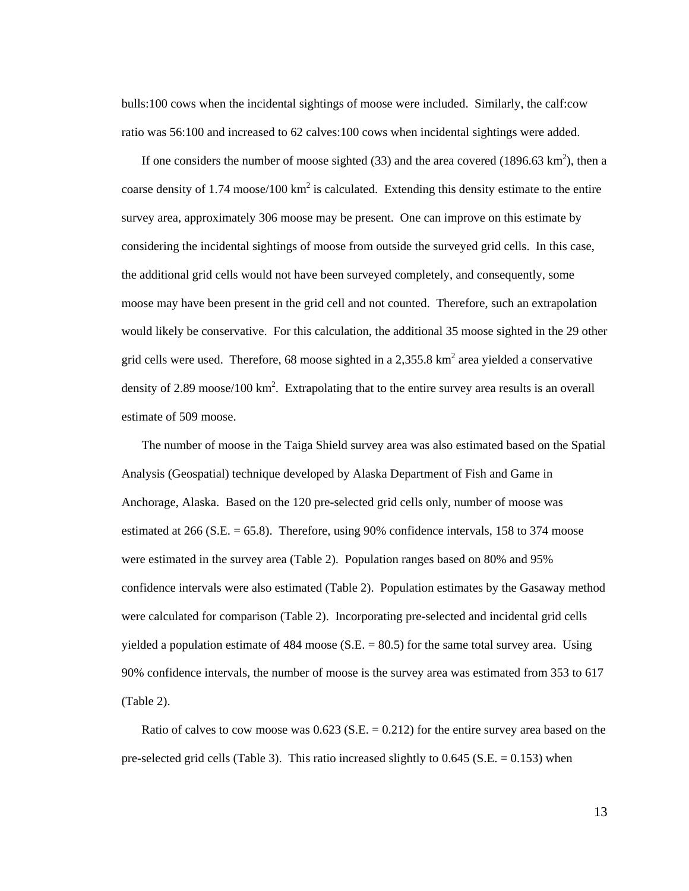bulls:100 cows when the incidental sightings of moose were included. Similarly, the calf:cow ratio was 56:100 and increased to 62 calves:100 cows when incidental sightings were added.

If one considers the number of moose sighted (33) and the area covered (1896.63  $\text{km}^2$ ), then a coarse density of 1.74 moose/100 km<sup>2</sup> is calculated. Extending this density estimate to the entire survey area, approximately 306 moose may be present. One can improve on this estimate by considering the incidental sightings of moose from outside the surveyed grid cells. In this case, the additional grid cells would not have been surveyed completely, and consequently, some moose may have been present in the grid cell and not counted. Therefore, such an extrapolation would likely be conservative. For this calculation, the additional 35 moose sighted in the 29 other grid cells were used. Therefore, 68 moose sighted in a 2,355.8  $km^2$  area yielded a conservative density of 2.89 moose/100  $\text{km}^2$ . Extrapolating that to the entire survey area results is an overall estimate of 509 moose.

 The number of moose in the Taiga Shield survey area was also estimated based on the Spatial Analysis (Geospatial) technique developed by Alaska Department of Fish and Game in Anchorage, Alaska. Based on the 120 pre-selected grid cells only, number of moose was estimated at 266 (S.E.  $= 65.8$ ). Therefore, using 90% confidence intervals, 158 to 374 moose were estimated in the survey area (Table 2). Population ranges based on 80% and 95% confidence intervals were also estimated (Table 2). Population estimates by the Gasaway method were calculated for comparison (Table 2). Incorporating pre-selected and incidental grid cells yielded a population estimate of  $484$  moose (S.E.  $= 80.5$ ) for the same total survey area. Using 90% confidence intervals, the number of moose is the survey area was estimated from 353 to 617 (Table 2).

Ratio of calves to cow moose was  $0.623$  (S.E. = 0.212) for the entire survey area based on the pre-selected grid cells (Table 3). This ratio increased slightly to 0.645 (S.E. = 0.153) when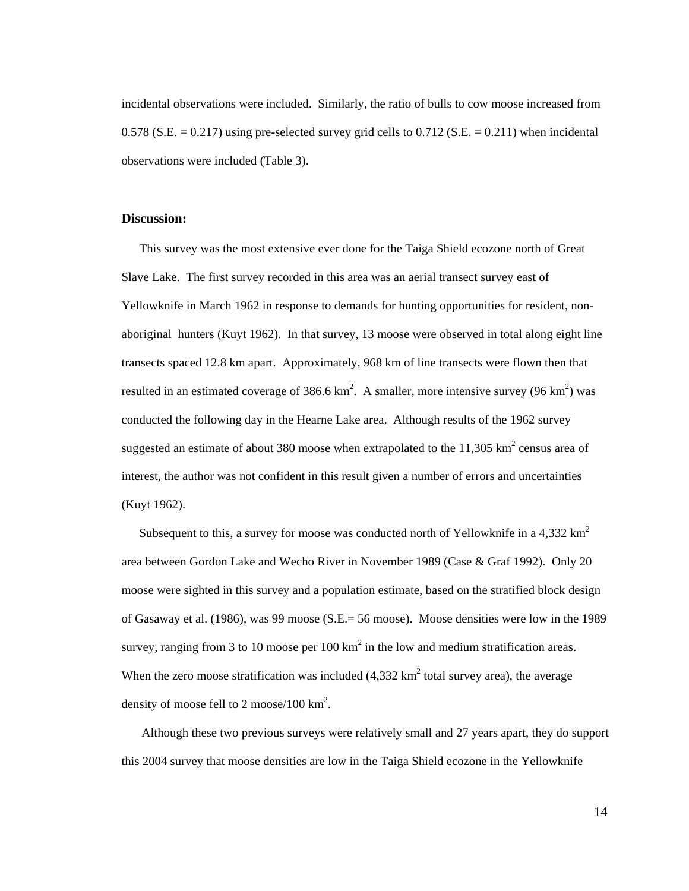incidental observations were included. Similarly, the ratio of bulls to cow moose increased from 0.578 (S.E.  $= 0.217$ ) using pre-selected survey grid cells to 0.712 (S.E.  $= 0.211$ ) when incidental observations were included (Table 3).

#### **Discussion:**

 This survey was the most extensive ever done for the Taiga Shield ecozone north of Great Slave Lake. The first survey recorded in this area was an aerial transect survey east of Yellowknife in March 1962 in response to demands for hunting opportunities for resident, nonaboriginal hunters (Kuyt 1962). In that survey, 13 moose were observed in total along eight line transects spaced 12.8 km apart. Approximately, 968 km of line transects were flown then that resulted in an estimated coverage of 386.6 km<sup>2</sup>. A smaller, more intensive survey (96 km<sup>2</sup>) was conducted the following day in the Hearne Lake area. Although results of the 1962 survey suggested an estimate of about 380 moose when extrapolated to the  $11,305$  km<sup>2</sup> census area of interest, the author was not confident in this result given a number of errors and uncertainties (Kuyt 1962).

Subsequent to this, a survey for moose was conducted north of Yellowknife in a 4,332  $\text{km}^2$ area between Gordon Lake and Wecho River in November 1989 (Case & Graf 1992). Only 20 moose were sighted in this survey and a population estimate, based on the stratified block design of Gasaway et al. (1986), was 99 moose (S.E.= 56 moose). Moose densities were low in the 1989 survey, ranging from 3 to 10 moose per 100  $\text{km}^2$  in the low and medium stratification areas. When the zero moose stratification was included  $(4,332 \text{ km}^2 \text{ total survey area})$ , the average density of moose fell to 2 moose/100  $\text{km}^2$ .

 Although these two previous surveys were relatively small and 27 years apart, they do support this 2004 survey that moose densities are low in the Taiga Shield ecozone in the Yellowknife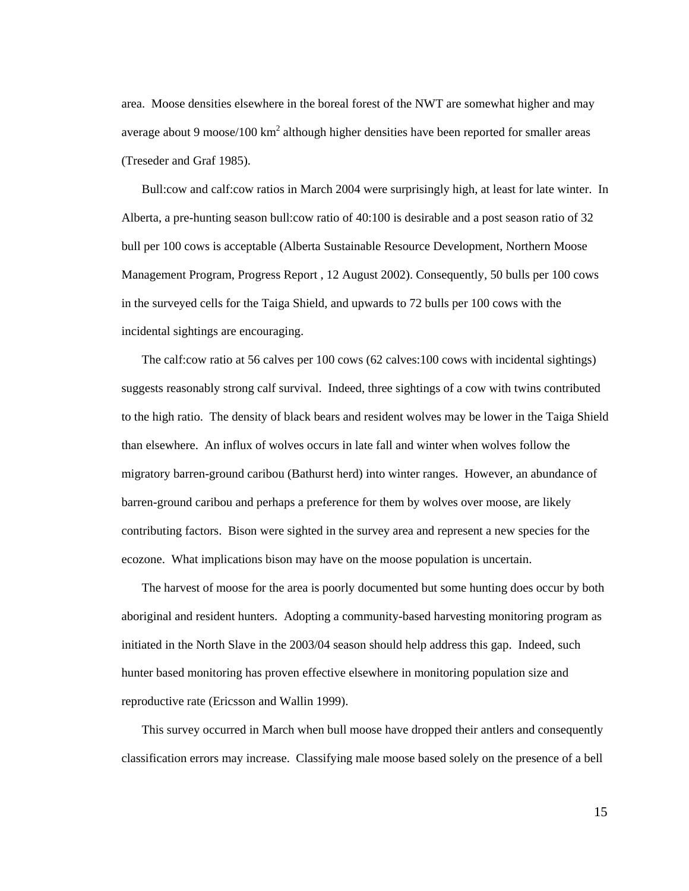area. Moose densities elsewhere in the boreal forest of the NWT are somewhat higher and may average about 9 moose/100  $km^2$  although higher densities have been reported for smaller areas (Treseder and Graf 1985).

 Bull:cow and calf:cow ratios in March 2004 were surprisingly high, at least for late winter. In Alberta, a pre-hunting season bull:cow ratio of 40:100 is desirable and a post season ratio of 32 bull per 100 cows is acceptable (Alberta Sustainable Resource Development, Northern Moose Management Program, Progress Report , 12 August 2002). Consequently, 50 bulls per 100 cows in the surveyed cells for the Taiga Shield, and upwards to 72 bulls per 100 cows with the incidental sightings are encouraging.

 The calf:cow ratio at 56 calves per 100 cows (62 calves:100 cows with incidental sightings) suggests reasonably strong calf survival. Indeed, three sightings of a cow with twins contributed to the high ratio. The density of black bears and resident wolves may be lower in the Taiga Shield than elsewhere. An influx of wolves occurs in late fall and winter when wolves follow the migratory barren-ground caribou (Bathurst herd) into winter ranges. However, an abundance of barren-ground caribou and perhaps a preference for them by wolves over moose, are likely contributing factors. Bison were sighted in the survey area and represent a new species for the ecozone. What implications bison may have on the moose population is uncertain.

 The harvest of moose for the area is poorly documented but some hunting does occur by both aboriginal and resident hunters. Adopting a community-based harvesting monitoring program as initiated in the North Slave in the 2003/04 season should help address this gap. Indeed, such hunter based monitoring has proven effective elsewhere in monitoring population size and reproductive rate (Ericsson and Wallin 1999).

 This survey occurred in March when bull moose have dropped their antlers and consequently classification errors may increase. Classifying male moose based solely on the presence of a bell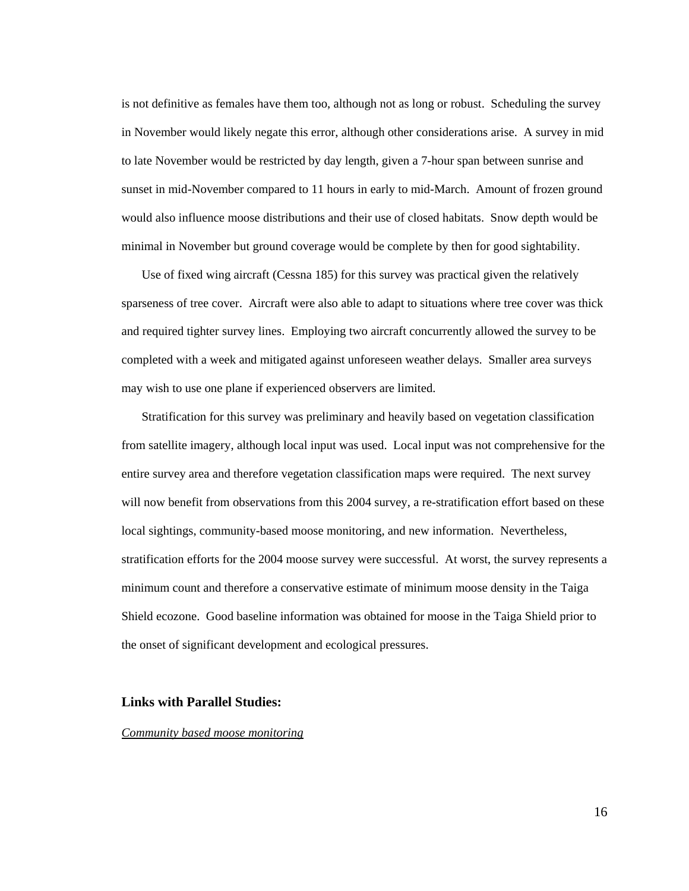is not definitive as females have them too, although not as long or robust. Scheduling the survey in November would likely negate this error, although other considerations arise. A survey in mid to late November would be restricted by day length, given a 7-hour span between sunrise and sunset in mid-November compared to 11 hours in early to mid-March. Amount of frozen ground would also influence moose distributions and their use of closed habitats. Snow depth would be minimal in November but ground coverage would be complete by then for good sightability.

 Use of fixed wing aircraft (Cessna 185) for this survey was practical given the relatively sparseness of tree cover. Aircraft were also able to adapt to situations where tree cover was thick and required tighter survey lines. Employing two aircraft concurrently allowed the survey to be completed with a week and mitigated against unforeseen weather delays. Smaller area surveys may wish to use one plane if experienced observers are limited.

 Stratification for this survey was preliminary and heavily based on vegetation classification from satellite imagery, although local input was used. Local input was not comprehensive for the entire survey area and therefore vegetation classification maps were required. The next survey will now benefit from observations from this 2004 survey, a re-stratification effort based on these local sightings, community-based moose monitoring, and new information. Nevertheless, stratification efforts for the 2004 moose survey were successful. At worst, the survey represents a minimum count and therefore a conservative estimate of minimum moose density in the Taiga Shield ecozone. Good baseline information was obtained for moose in the Taiga Shield prior to the onset of significant development and ecological pressures.

## **Links with Parallel Studies:**

#### *Community based moose monitoring*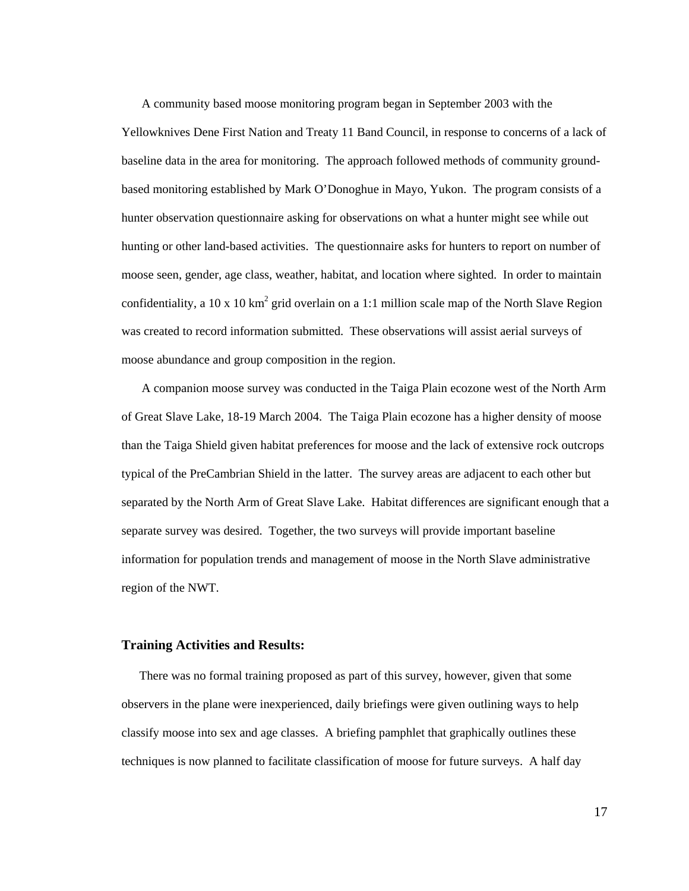A community based moose monitoring program began in September 2003 with the Yellowknives Dene First Nation and Treaty 11 Band Council, in response to concerns of a lack of baseline data in the area for monitoring. The approach followed methods of community groundbased monitoring established by Mark O'Donoghue in Mayo, Yukon. The program consists of a hunter observation questionnaire asking for observations on what a hunter might see while out hunting or other land-based activities. The questionnaire asks for hunters to report on number of moose seen, gender, age class, weather, habitat, and location where sighted. In order to maintain confidentiality, a 10 x 10 km<sup>2</sup> grid overlain on a 1:1 million scale map of the North Slave Region was created to record information submitted. These observations will assist aerial surveys of moose abundance and group composition in the region.

 A companion moose survey was conducted in the Taiga Plain ecozone west of the North Arm of Great Slave Lake, 18-19 March 2004. The Taiga Plain ecozone has a higher density of moose than the Taiga Shield given habitat preferences for moose and the lack of extensive rock outcrops typical of the PreCambrian Shield in the latter. The survey areas are adjacent to each other but separated by the North Arm of Great Slave Lake. Habitat differences are significant enough that a separate survey was desired. Together, the two surveys will provide important baseline information for population trends and management of moose in the North Slave administrative region of the NWT.

#### **Training Activities and Results:**

 There was no formal training proposed as part of this survey, however, given that some observers in the plane were inexperienced, daily briefings were given outlining ways to help classify moose into sex and age classes. A briefing pamphlet that graphically outlines these techniques is now planned to facilitate classification of moose for future surveys. A half day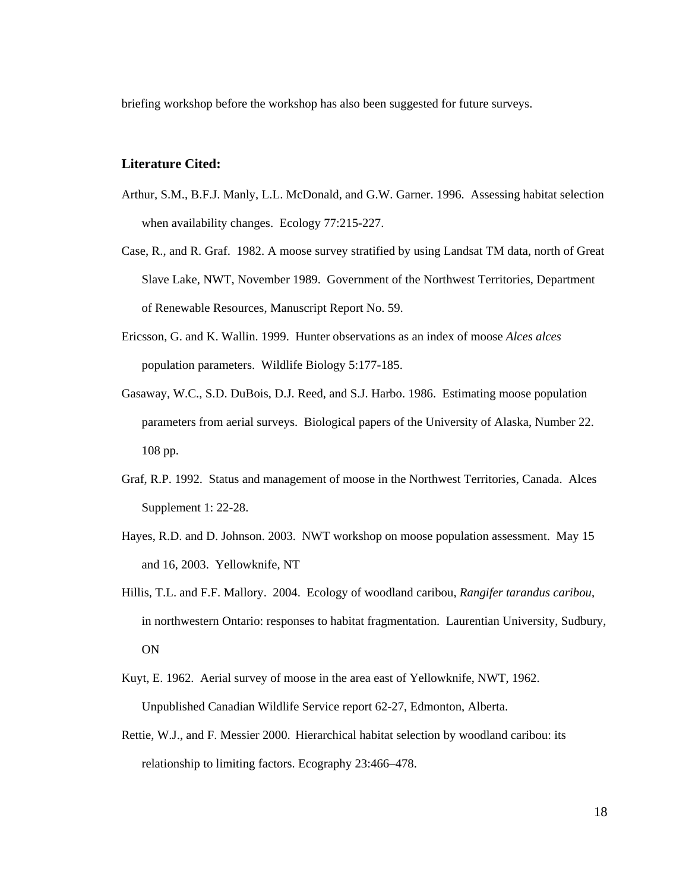briefing workshop before the workshop has also been suggested for future surveys.

## **Literature Cited:**

- Arthur, S.M., B.F.J. Manly, L.L. McDonald, and G.W. Garner. 1996. Assessing habitat selection when availability changes. Ecology 77:215-227.
- Case, R., and R. Graf. 1982. A moose survey stratified by using Landsat TM data, north of Great Slave Lake, NWT, November 1989. Government of the Northwest Territories, Department of Renewable Resources, Manuscript Report No. 59.
- Ericsson, G. and K. Wallin. 1999. Hunter observations as an index of moose *Alces alces* population parameters. Wildlife Biology 5:177-185.
- Gasaway, W.C., S.D. DuBois, D.J. Reed, and S.J. Harbo. 1986. Estimating moose population parameters from aerial surveys. Biological papers of the University of Alaska, Number 22. 108 pp.
- Graf, R.P. 1992. Status and management of moose in the Northwest Territories, Canada. Alces Supplement 1: 22-28.
- Hayes, R.D. and D. Johnson. 2003. NWT workshop on moose population assessment. May 15 and 16, 2003. Yellowknife, NT
- Hillis, T.L. and F.F. Mallory. 2004. Ecology of woodland caribou, *Rangifer tarandus caribou*, in northwestern Ontario: responses to habitat fragmentation. Laurentian University, Sudbury, ON
- Kuyt, E. 1962. Aerial survey of moose in the area east of Yellowknife, NWT, 1962. Unpublished Canadian Wildlife Service report 62-27, Edmonton, Alberta.
- Rettie, W.J., and F. Messier 2000. Hierarchical habitat selection by woodland caribou: its relationship to limiting factors. Ecography 23:466–478.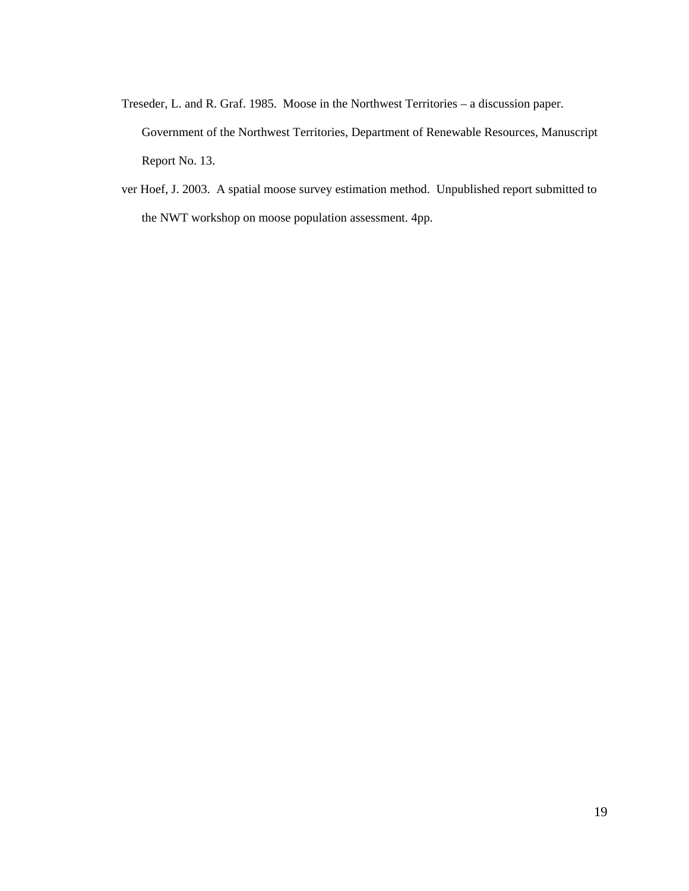- Treseder, L. and R. Graf. 1985. Moose in the Northwest Territories a discussion paper. Government of the Northwest Territories, Department of Renewable Resources, Manuscript Report No. 13.
- ver Hoef, J. 2003. A spatial moose survey estimation method. Unpublished report submitted to the NWT workshop on moose population assessment. 4pp.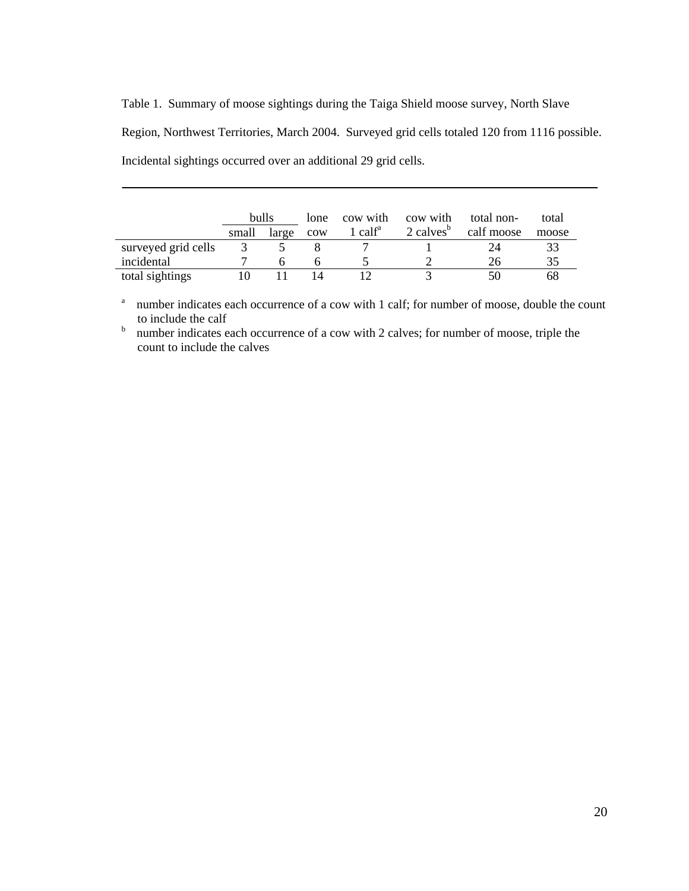Table 1. Summary of moose sightings during the Taiga Shield moose survey, North Slave Region, Northwest Territories, March 2004. Surveyed grid cells totaled 120 from 1116 possible. Incidental sightings occurred over an additional 29 grid cells.

|                     | bulls |       | lone | cow with    | cow with                | total non- | total |
|---------------------|-------|-------|------|-------------|-------------------------|------------|-------|
|                     | small | large | cow  | 1 cal $f^a$ | $2$ calves <sup>b</sup> | calf moose | moose |
| surveyed grid cells |       |       |      |             |                         |            |       |
| incidental          |       |       |      |             |                         | 26         |       |
| total sightings     |       |       |      |             |                         |            | 68    |

<sup>a</sup> number indicates each occurrence of a cow with 1 calf; for number of moose, double the count to include the calf

 $b$  number indicates each occurrence of a cow with 2 calves; for number of moose, triple the count to include the calves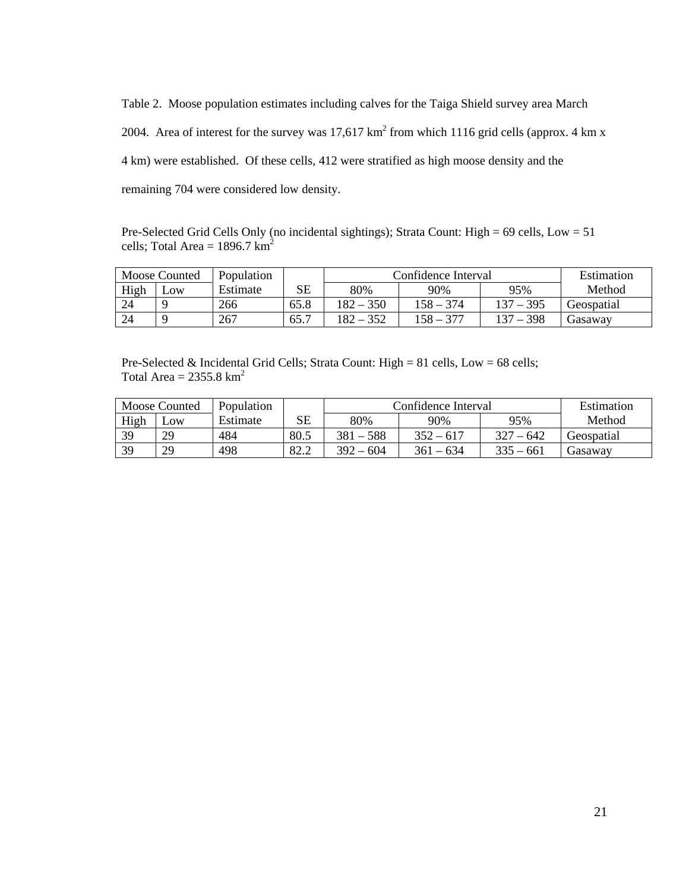Table 2. Moose population estimates including calves for the Taiga Shield survey area March 2004. Area of interest for the survey was  $17{,}617 \text{ km}^2$  from which 1116 grid cells (approx. 4 km x 4 km) were established. Of these cells, 412 were stratified as high moose density and the remaining 704 were considered low density.

Pre-Selected Grid Cells Only (no incidental sightings); Strata Count: High = 69 cells, Low = 51 cells; Total Area =  $1896.7 \text{ km}^2$ 

|      | Moose Counted | Population |             | Confidence Interval | Estimation  |             |            |
|------|---------------|------------|-------------|---------------------|-------------|-------------|------------|
| High | $-0W$         | Estimate   | $_{\rm SE}$ | 80%                 | 90%         | 95%         | Method     |
| 24   |               | 266        | 65.8        | $182 - 350$         | $158 - 374$ | 137 – 395   | Geospatial |
| 24   |               | 267        | 65.7        | $182 - 352$         | 158 – 377   | $137 - 398$ | Gasaway    |

Pre-Selected & Incidental Grid Cells; Strata Count: High = 81 cells, Low = 68 cells; Total Area =  $2355.8 \text{ km}^2$ 

|      | <b>Moose Counted</b> | Population |      | Confidence Interval | Estimation  |             |            |
|------|----------------------|------------|------|---------------------|-------------|-------------|------------|
| High | $L$ OW               | Estimate   | SE   | 80%                 | 90%         | 95%         | Method     |
| 39   | 29                   | 484        | 80.5 | $381 - 588$         | $352 - 617$ | $327 - 642$ | Geospatial |
| 39   | 29                   | 498        | 82.2 | $392 - 604$         | $361 - 634$ | $335 - 661$ | Gasawav    |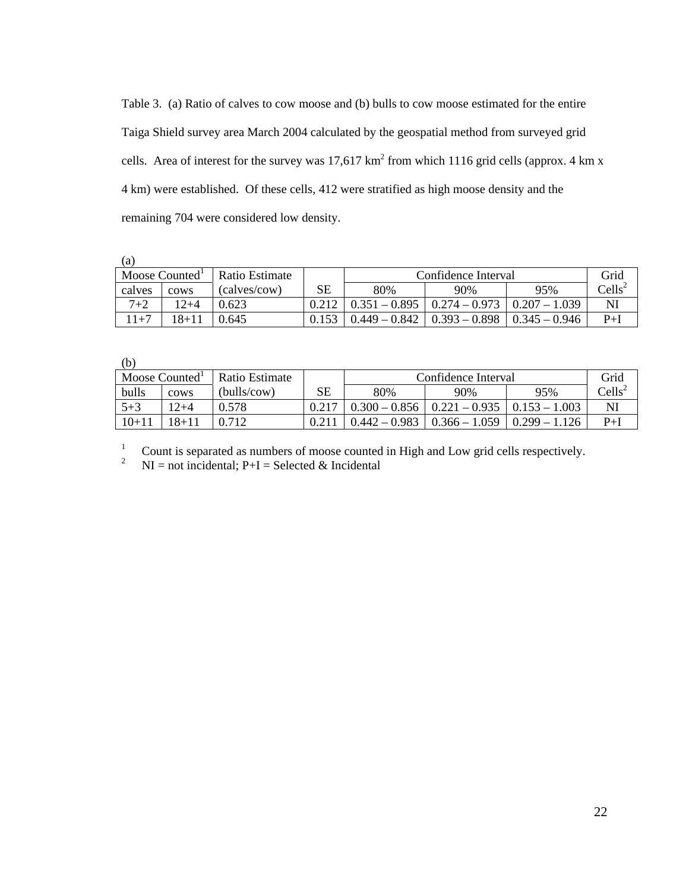Table 3. (a) Ratio of calves to cow moose and (b) bulls to cow moose estimated for the entire Taiga Shield survey area March 2004 calculated by the geospatial method from surveyed grid cells. Area of interest for the survey was 17,617 km<sup>2</sup> from which 1116 grid cells (approx. 4 km x 4 km) were established. Of these cells, 412 were stratified as high moose density and the remaining 704 were considered low density.

 $(a)$ 

|         | Moose Counted <sup>1</sup> | Ratio Estimate |       | Confidence Interval | Grid             |                 |                                             |
|---------|----------------------------|----------------|-------|---------------------|------------------|-----------------|---------------------------------------------|
| calves  | cows                       | (calves/cow)   | SЕ    | 80%                 | 90%              | 95%             | $\mathrm{Cells}^{\scriptscriptstyle\angle}$ |
| $7 + 2$ | 12+4                       | 0.623          |       | $0.351 - 0.895$     | $10.274 - 0.973$ | $0.207 - 1.039$ | Nl                                          |
| $11+7$  | 18+11                      | 0.645          | 0.153 | $0.449 - 0.842$     | $0.393 - 0.898$  | $0.345 - 0.946$ | $P+I$                                       |

 $(h)$ 

| 1 U J   |                            |                |             |                     |                 |                 |                  |
|---------|----------------------------|----------------|-------------|---------------------|-----------------|-----------------|------------------|
|         | Moose Counted <sup>1</sup> | Ratio Estimate |             | Confidence Interval | Grid            |                 |                  |
| bulls   | cows                       | (bulls/cow)    | $_{\rm SE}$ | 80%                 | 90%             | 95%             | $\text{Cells}^2$ |
| $5 + 3$ | $12 + 4$                   | 0.578          | 0.217       | $0.300 - 0.856$     | $0.221 - 0.935$ | $0.153 - 1.003$ | NI               |
| $10+11$ | $18 + 1$                   | 712            |             | $0.442 - 0.983$     | $0.366 - 1.059$ | $0.299 - 1.126$ | $P+I$            |

 $1$  Count is separated as numbers of moose counted in High and Low grid cells respectively.

<sup>2</sup> NI = not incidental;  $P+I$  = Selected & Incidental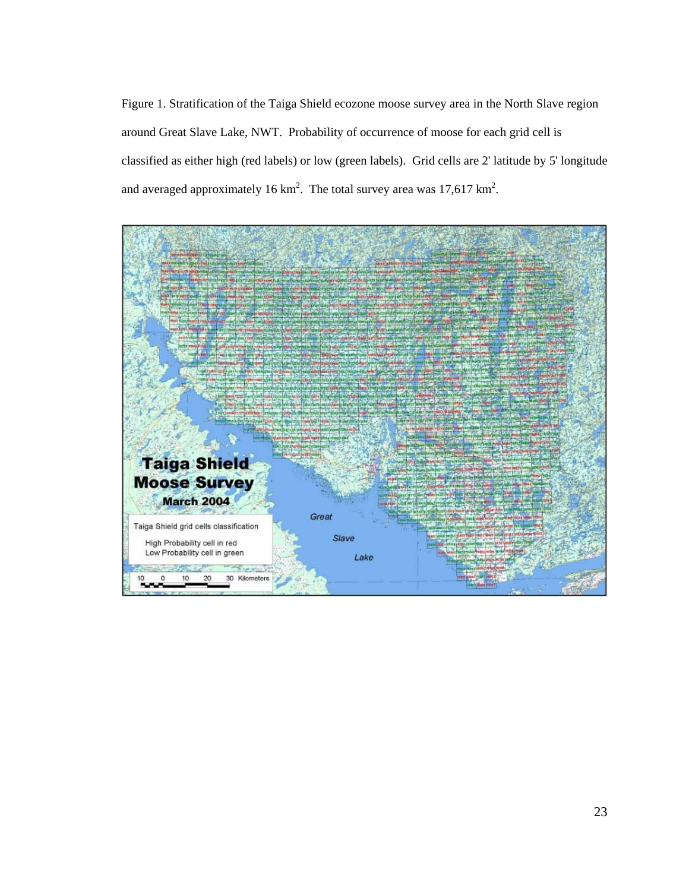Figure 1. Stratification of the Taiga Shield ecozone moose survey area in the North Slave region around Great Slave Lake, NWT. Probability of occurrence of moose for each grid cell is classified as either high (red labels) or low (green labels). Grid cells are 2' latitude by 5' longitude and averaged approximately 16 km<sup>2</sup>. The total survey area was  $17{,}617 \text{ km}^2$ .

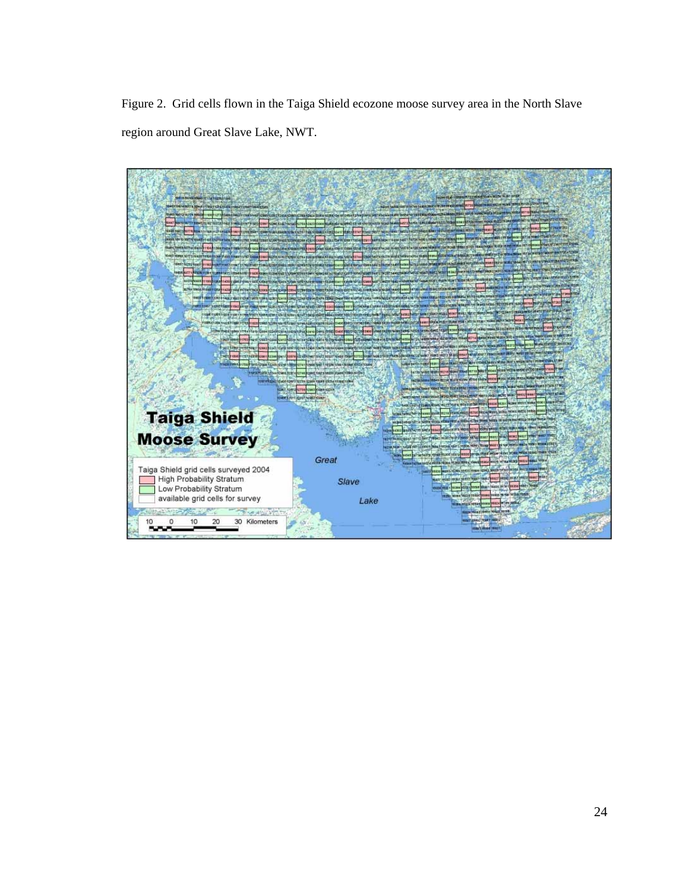Figure 2. Grid cells flown in the Taiga Shield ecozone moose survey area in the North Slave region around Great Slave Lake, NWT.

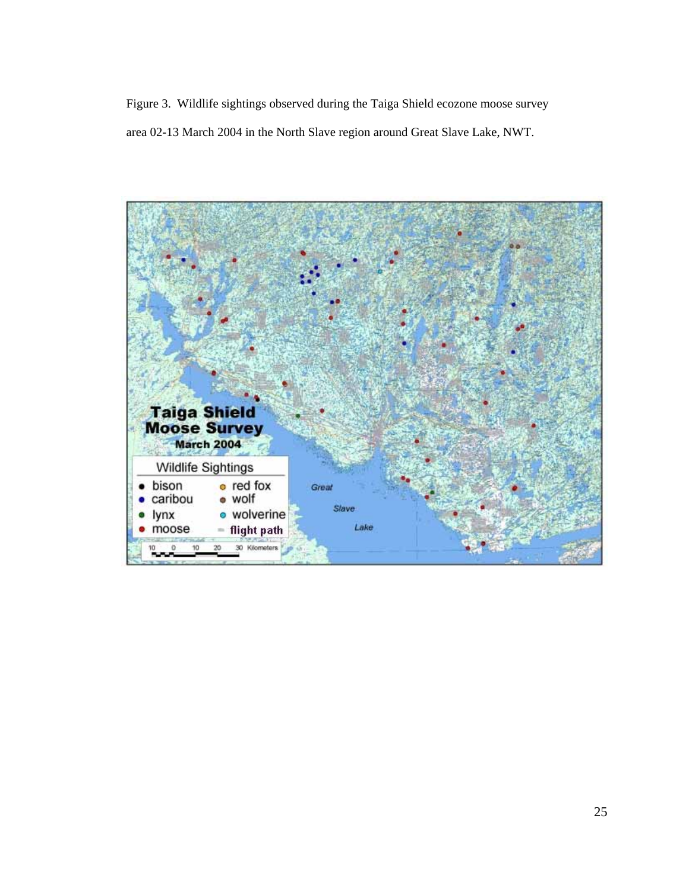Figure 3. Wildlife sightings observed during the Taiga Shield ecozone moose survey area 02-13 March 2004 in the North Slave region around Great Slave Lake, NWT.

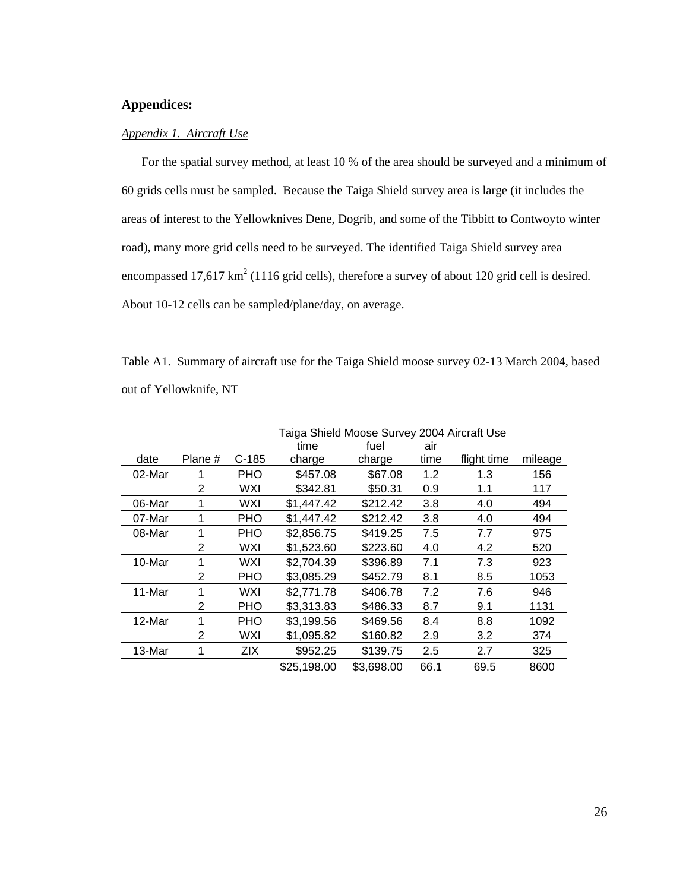## **Appendices:**

#### *Appendix 1. Aircraft Use*

 For the spatial survey method, at least 10 % of the area should be surveyed and a minimum of 60 grids cells must be sampled. Because the Taiga Shield survey area is large (it includes the areas of interest to the Yellowknives Dene, Dogrib, and some of the Tibbitt to Contwoyto winter road), many more grid cells need to be surveyed. The identified Taiga Shield survey area encompassed 17,617 km<sup>2</sup> (1116 grid cells), therefore a survey of about 120 grid cell is desired. About 10-12 cells can be sampled/plane/day, on average.

Table A1. Summary of aircraft use for the Taiga Shield moose survey 02-13 March 2004, based out of Yellowknife, NT

|        |         |            | Taiga Shield Moose Survey 2004 Aircraft Use |            |      |             |         |  |  |
|--------|---------|------------|---------------------------------------------|------------|------|-------------|---------|--|--|
|        |         |            | time                                        | fuel       | air  |             |         |  |  |
| date   | Plane # | $C-185$    | charge                                      | charge     | time | flight time | mileage |  |  |
| 02-Mar | 1       | <b>PHO</b> | \$457.08                                    | \$67.08    | 1.2  | 1.3         | 156     |  |  |
|        | 2       | WXI        | \$342.81                                    | \$50.31    | 0.9  | 1.1         | 117     |  |  |
| 06-Mar | 1       | WXI        | \$1,447.42                                  | \$212.42   | 3.8  | 4.0         | 494     |  |  |
| 07-Mar | 1       | <b>PHO</b> | \$1,447.42                                  | \$212.42   | 3.8  | 4.0         | 494     |  |  |
| 08-Mar | 1       | <b>PHO</b> | \$2,856.75                                  | \$419.25   | 7.5  | 7.7         | 975     |  |  |
|        | 2       | WXI        | \$1,523.60                                  | \$223.60   | 4.0  | 4.2         | 520     |  |  |
| 10-Mar | 1       | <b>WXI</b> | \$2,704.39                                  | \$396.89   | 7.1  | 7.3         | 923     |  |  |
|        | 2       | PHO        | \$3,085.29                                  | \$452.79   | 8.1  | 8.5         | 1053    |  |  |
| 11-Mar | 1       | WXI        | \$2,771.78                                  | \$406.78   | 7.2  | 7.6         | 946     |  |  |
|        | 2       | <b>PHO</b> | \$3,313.83                                  | \$486.33   | 8.7  | 9.1         | 1131    |  |  |
| 12-Mar | 1       | <b>PHO</b> | \$3,199.56                                  | \$469.56   | 8.4  | 8.8         | 1092    |  |  |
|        | 2       | <b>WXI</b> | \$1,095.82                                  | \$160.82   | 2.9  | 3.2         | 374     |  |  |
| 13-Mar | 1       | <b>ZIX</b> | \$952.25                                    | \$139.75   | 2.5  | 2.7         | 325     |  |  |
|        |         |            | \$25,198.00                                 | \$3,698.00 | 66.1 | 69.5        | 8600    |  |  |